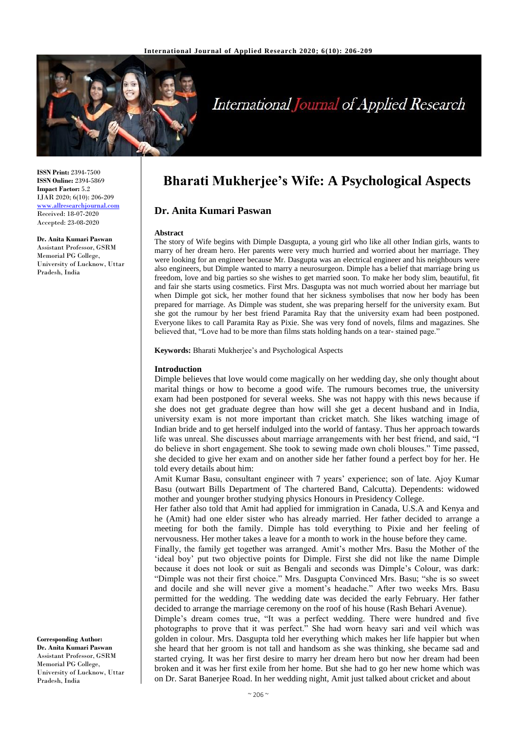

# **International Journal of Applied Research**

**ISSN Print:** 2394-7500 **ISSN Online:** 2394-5869 **Impact Factor:** 5.2 IJAR 2020; 6(10): 206-209 <www.allresearchjournal.com> Received: 18-07-2020 Accepted: 23-08-2020

#### **Dr. Anita Kumari Paswan**

Assistant Professor, GSRM Memorial PG College, University of Lucknow, Uttar Pradesh, India

**Corresponding Author: Dr. Anita Kumari Paswan** Assistant Professor, GSRM Memorial PG College, University of Lucknow, Uttar Pradesh, India

# **Bharati Mukherjee's Wife: A Psychological Aspects**

## **Dr. Anita Kumari Paswan**

#### **Abstract**

The story of Wife begins with Dimple Dasgupta, a young girl who like all other Indian girls, wants to marry of her dream hero. Her parents were very much hurried and worried about her marriage. They were looking for an engineer because Mr. Dasgupta was an electrical engineer and his neighbours were also engineers, but Dimple wanted to marry a neurosurgeon. Dimple has a belief that marriage bring us freedom, love and big parties so she wishes to get married soon. To make her body slim, beautiful, fit and fair she starts using cosmetics. First Mrs. Dasgupta was not much worried about her marriage but when Dimple got sick, her mother found that her sickness symbolises that now her body has been prepared for marriage. As Dimple was student, she was preparing herself for the university exam. But she got the rumour by her best friend Paramita Ray that the university exam had been postponed. Everyone likes to call Paramita Ray as Pixie. She was very fond of novels, films and magazines. She believed that, "Love had to be more than films stats holding hands on a tear- stained page."

**Keywords:** Bharati Mukherjee's and Psychological Aspects

#### **Introduction**

Dimple believes that love would come magically on her wedding day, she only thought about marital things or how to become a good wife. The rumours becomes true, the university exam had been postponed for several weeks. She was not happy with this news because if she does not get graduate degree than how will she get a decent husband and in India, university exam is not more important than cricket match. She likes watching image of Indian bride and to get herself indulged into the world of fantasy. Thus her approach towards life was unreal. She discusses about marriage arrangements with her best friend, and said, "I do believe in short engagement. She took to sewing made own choli blouses." Time passed, she decided to give her exam and on another side her father found a perfect boy for her. He told every details about him:

Amit Kumar Basu, consultant engineer with 7 years' experience; son of late. Ajoy Kumar Basu (outwart Bills Department of The chartered Band, Calcutta). Dependents: widowed mother and younger brother studying physics Honours in Presidency College.

Her father also told that Amit had applied for immigration in Canada, U.S.A and Kenya and he (Amit) had one elder sister who has already married. Her father decided to arrange a meeting for both the family. Dimple has told everything to Pixie and her feeling of nervousness. Her mother takes a leave for a month to work in the house before they came.

Finally, the family get together was arranged. Amit's mother Mrs. Basu the Mother of the 'ideal boy' put two objective points for Dimple. First she did not like the name Dimple because it does not look or suit as Bengali and seconds was Dimple's Colour, was dark: "Dimple was not their first choice." Mrs. Dasgupta Convinced Mrs. Basu; "she is so sweet and docile and she will never give a moment's headache." After two weeks Mrs. Basu permitted for the wedding. The wedding date was decided the early February. Her father decided to arrange the marriage ceremony on the roof of his house (Rash Behari Avenue).

Dimple's dream comes true, "It was a perfect wedding. There were hundred and five photographs to prove that it was perfect." She had worn heavy sari and veil which was golden in colour. Mrs. Dasgupta told her everything which makes her life happier but when she heard that her groom is not tall and handsom as she was thinking, she became sad and started crying. It was her first desire to marry her dream hero but now her dream had been broken and it was her first exile from her home. But she had to go her new home which was on Dr. Sarat Banerjee Road. In her wedding night, Amit just talked about cricket and about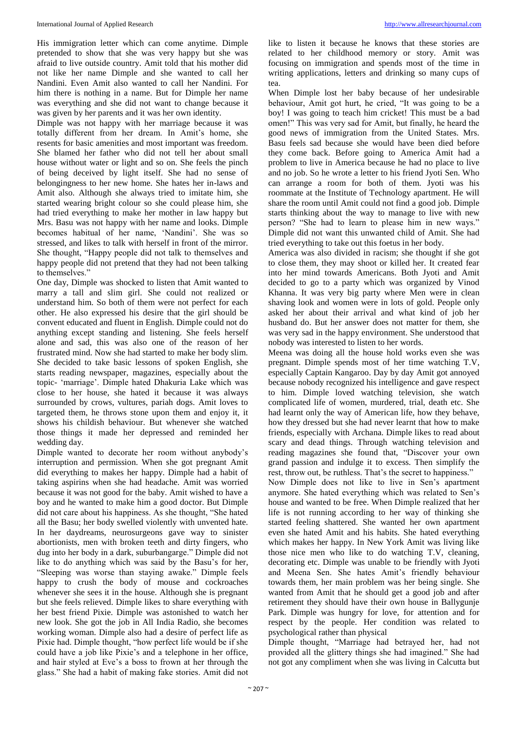His immigration letter which can come anytime. Dimple pretended to show that she was very happy but she was afraid to live outside country. Amit told that his mother did not like her name Dimple and she wanted to call her Nandini. Even Amit also wanted to call her Nandini. For him there is nothing in a name. But for Dimple her name was everything and she did not want to change because it was given by her parents and it was her own identity.

Dimple was not happy with her marriage because it was totally different from her dream. In Amit's home, she resents for basic amenities and most important was freedom. She blamed her father who did not tell her about small house without water or light and so on. She feels the pinch of being deceived by light itself. She had no sense of belongingness to her new home. She hates her in-laws and Amit also. Although she always tried to imitate him, she started wearing bright colour so she could please him, she had tried everything to make her mother in law happy but Mrs. Basu was not happy with her name and looks. Dimple becomes habitual of her name, 'Nandini'. She was so stressed, and likes to talk with herself in front of the mirror. She thought, "Happy people did not talk to themselves and happy people did not pretend that they had not been talking to themselves."

One day, Dimple was shocked to listen that Amit wanted to marry a tall and slim girl. She could not realized or understand him. So both of them were not perfect for each other. He also expressed his desire that the girl should be convent educated and fluent in English. Dimple could not do anything except standing and listening. She feels herself alone and sad, this was also one of the reason of her frustrated mind. Now she had started to make her body slim. She decided to take basic lessons of spoken English, she starts reading newspaper, magazines, especially about the topic- 'marriage'. Dimple hated Dhakuria Lake which was close to her house, she hated it because it was always surrounded by crows, vultures, pariah dogs. Amit loves to targeted them, he throws stone upon them and enjoy it, it shows his childish behaviour. But whenever she watched those things it made her depressed and reminded her wedding day.

Dimple wanted to decorate her room without anybody's interruption and permission. When she got pregnant Amit did everything to makes her happy. Dimple had a habit of taking aspirins when she had headache. Amit was worried because it was not good for the baby. Amit wished to have a boy and he wanted to make him a good doctor. But Dimple did not care about his happiness. As she thought, "She hated all the Basu; her body swelled violently with unvented hate. In her daydreams, neurosurgeons gave way to sinister abortionists, men with broken teeth and dirty fingers, who dug into her body in a dark, suburbangarge." Dimple did not like to do anything which was said by the Basu's for her, "Sleeping was worse than staying awake." Dimple feels happy to crush the body of mouse and cockroaches whenever she sees it in the house. Although she is pregnant but she feels relieved. Dimple likes to share everything with her best friend Pixie. Dimple was astonished to watch her new look. She got the job in All India Radio, she becomes working woman. Dimple also had a desire of perfect life as Pixie had. Dimple thought, "how perfect life would be if she could have a job like Pixie's and a telephone in her office, and hair styled at Eve's a boss to frown at her through the glass." She had a habit of making fake stories. Amit did not

like to listen it because he knows that these stories are related to her childhood memory or story. Amit was focusing on immigration and spends most of the time in writing applications, letters and drinking so many cups of tea.

When Dimple lost her baby because of her undesirable behaviour, Amit got hurt, he cried, "It was going to be a boy! I was going to teach him cricket! This must be a bad omen!" This was very sad for Amit, but finally, he heard the good news of immigration from the United States. Mrs. Basu feels sad because she would have been died before they come back. Before going to America Amit had a problem to live in America because he had no place to live and no job. So he wrote a letter to his friend Jyoti Sen. Who can arrange a room for both of them. Jyoti was his roommate at the Institute of Technology apartment. He will share the room until Amit could not find a good job. Dimple starts thinking about the way to manage to live with new person? "She had to learn to please him in new ways." Dimple did not want this unwanted child of Amit. She had tried everything to take out this foetus in her body.

America was also divided in racism; she thought if she got to close them, they may shoot or killed her. It created fear into her mind towards Americans. Both Jyoti and Amit decided to go to a party which was organized by Vinod Khanna. It was very big party where Men were in clean shaving look and women were in lots of gold. People only asked her about their arrival and what kind of job her husband do. But her answer does not matter for them, she was very sad in the happy environment. She understood that nobody was interested to listen to her words.

Meena was doing all the house hold works even she was pregnant. Dimple spends most of her time watching T.V, especially Captain Kangaroo. Day by day Amit got annoyed because nobody recognized his intelligence and gave respect to him. Dimple loved watching television, she watch complicated life of women, murdered, trial, death etc. She had learnt only the way of American life, how they behave, how they dressed but she had never learnt that how to make friends, especially with Archana. Dimple likes to read about scary and dead things. Through watching television and reading magazines she found that, "Discover your own grand passion and indulge it to excess. Then simplify the rest, throw out, be ruthless. That's the secret to happiness."

Now Dimple does not like to live in Sen's apartment anymore. She hated everything which was related to Sen's house and wanted to be free. When Dimple realized that her life is not running according to her way of thinking she started feeling shattered. She wanted her own apartment even she hated Amit and his habits. She hated everything which makes her happy. In New York Amit was living like those nice men who like to do watching T.V, cleaning, decorating etc. Dimple was unable to be friendly with Jyoti and Meena Sen. She hates Amit's friendly behaviour towards them, her main problem was her being single. She wanted from Amit that he should get a good job and after retirement they should have their own house in Ballygunje Park. Dimple was hungry for love, for attention and for respect by the people. Her condition was related to psychological rather than physical

Dimple thought, "Marriage had betrayed her, had not provided all the glittery things she had imagined." She had not got any compliment when she was living in Calcutta but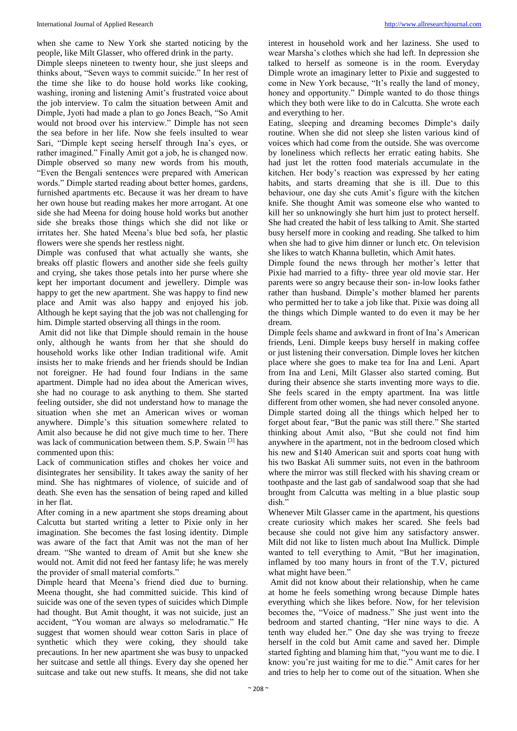when she came to New York she started noticing by the people, like Milt Glasser, who offered drink in the party.

Dimple sleeps nineteen to twenty hour, she just sleeps and thinks about, "Seven ways to commit suicide." In her rest of the time she like to do house hold works like cooking, washing, ironing and listening Amit's frustrated voice about the job interview. To calm the situation between Amit and Dimple, Jyoti had made a plan to go Jones Beach, "So Amit would not brood over his interview." Dimple has not seen the sea before in her life. Now she feels insulted to wear Sari, "Dimple kept seeing herself through Ina's eyes, or rather imagined." Finally Amit got a job, he is changed now. Dimple observed so many new words from his mouth, "Even the Bengali sentences were prepared with American words." Dimple started reading about better homes, gardens, furnished apartments etc. Because it was her dream to have her own house but reading makes her more arrogant. At one side she had Meena for doing house hold works but another side she breaks those things which she did not like or irritates her. She hated Meena's blue bed sofa, her plastic flowers were she spends her restless night.

Dimple was confused that what actually she wants, she breaks off plastic flowers and another side she feels guilty and crying, she takes those petals into her purse where she kept her important document and jewellery. Dimple was happy to get the new apartment. She was happy to find new place and Amit was also happy and enjoyed his job. Although he kept saying that the job was not challenging for him. Dimple started observing all things in the room.

Amit did not like that Dimple should remain in the house only, although he wants from her that she should do household works like other Indian traditional wife. Amit insists her to make friends and her friends should be Indian not foreigner. He had found four Indians in the same apartment. Dimple had no idea about the American wives, she had no courage to ask anything to them. She started feeling outsider, she did not understand how to manage the situation when she met an American wives or woman anywhere. Dimple's this situation somewhere related to Amit also because he did not give much time to her. There was lack of communication between them. S.P. Swain [3] has commented upon this:

Lack of communication stifles and chokes her voice and disintegrates her sensibility. It takes away the sanity of her mind. She has nightmares of violence, of suicide and of death. She even has the sensation of being raped and killed in her flat.

After coming in a new apartment she stops dreaming about Calcutta but started writing a letter to Pixie only in her imagination. She becomes the fast losing identity. Dimple was aware of the fact that Amit was not the man of her dream. "She wanted to dream of Amit but she knew she would not. Amit did not feed her fantasy life; he was merely the provider of small material comforts."

Dimple heard that Meena's friend died due to burning. Meena thought, she had committed suicide. This kind of suicide was one of the seven types of suicides which Dimple had thought. But Amit thought, it was not suicide, just an accident, "You woman are always so melodramatic." He suggest that women should wear cotton Saris in place of synthetic which they were coking, they should take precautions. In her new apartment she was busy to unpacked her suitcase and settle all things. Every day she opened her suitcase and take out new stuffs. It means, she did not take interest in household work and her laziness. She used to wear Marsha's clothes which she had left. In depression she talked to herself as someone is in the room. Everyday Dimple wrote an imaginary letter to Pixie and suggested to come in New York because, "It's really the land of money, honey and opportunity." Dimple wanted to do those things which they both were like to do in Calcutta. She wrote each and everything to her.

Eating, sleeping and dreaming becomes Dimple's daily routine. When she did not sleep she listen various kind of voices which had come from the outside. She was overcome by loneliness which reflects her erratic eating habits. She had just let the rotten food materials accumulate in the kitchen. Her body's reaction was expressed by her eating habits, and starts dreaming that she is ill. Due to this behaviour, one day she cuts Amit's figure with the kitchen knife. She thought Amit was someone else who wanted to kill her so unknowingly she hurt him just to protect herself. She had created the habit of less talking to Amit. She started busy herself more in cooking and reading. She talked to him when she had to give him dinner or lunch etc. On television she likes to watch Khanna bulletin, which Amit hates.

Dimple found the news through her mother's letter that Pixie had married to a fifty- three year old movie star. Her parents were so angry because their son- in-low looks father rather than husband. Dimple's mother blamed her parents who permitted her to take a job like that. Pixie was doing all the things which Dimple wanted to do even it may be her dream.

Dimple feels shame and awkward in front of Ina's American friends, Leni. Dimple keeps busy herself in making coffee or just listening their conversation. Dimple loves her kitchen place where she goes to make tea for Ina and Leni. Apart from Ina and Leni, Milt Glasser also started coming. But during their absence she starts inventing more ways to die. She feels scared in the empty apartment. Ina was little different from other women, she had never consoled anyone. Dimple started doing all the things which helped her to forget about fear, "But the panic was still there." She started thinking about Amit also, "But she could not find him anywhere in the apartment, not in the bedroom closed which his new and \$140 American suit and sports coat hung with his two Baskat Ali summer suits, not even in the bathroom where the mirror was still flecked with his shaving cream or toothpaste and the last gab of sandalwood soap that she had brought from Calcutta was melting in a blue plastic soup dish."

Whenever Milt Glasser came in the apartment, his questions create curiosity which makes her scared. She feels bad because she could not give him any satisfactory answer. Milt did not like to listen much about Ina Mullick. Dimple wanted to tell everything to Amit, "But her imagination, inflamed by too many hours in front of the T.V, pictured what might have been."

Amit did not know about their relationship, when he came at home he feels something wrong because Dimple hates everything which she likes before. Now, for her television becomes the, "Voice of madness." She just went into the bedroom and started chanting, "Her nine ways to die. A tenth way eluded her." One day she was trying to freeze herself in the cold but Amit came and saved her. Dimple started fighting and blaming him that, "you want me to die. I know: you're just waiting for me to die." Amit cares for her and tries to help her to come out of the situation. When she